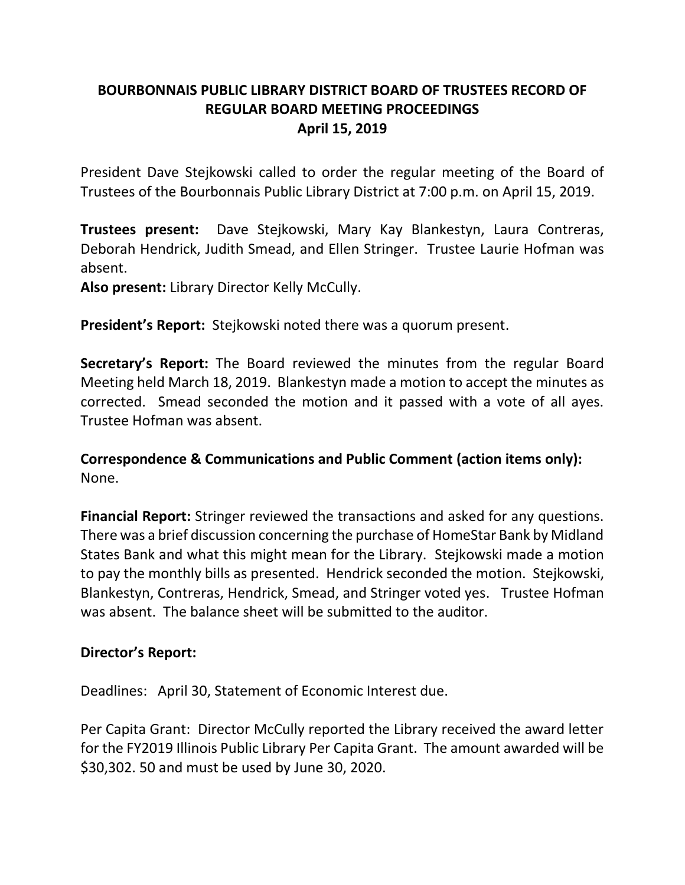## **BOURBONNAIS PUBLIC LIBRARY DISTRICT BOARD OF TRUSTEES RECORD OF REGULAR BOARD MEETING PROCEEDINGS April 15, 2019**

President Dave Stejkowski called to order the regular meeting of the Board of Trustees of the Bourbonnais Public Library District at 7:00 p.m. on April 15, 2019.

**Trustees present:** Dave Stejkowski, Mary Kay Blankestyn, Laura Contreras, Deborah Hendrick, Judith Smead, and Ellen Stringer. Trustee Laurie Hofman was absent.

**Also present:** Library Director Kelly McCully.

**President's Report:** Stejkowski noted there was a quorum present.

**Secretary's Report:** The Board reviewed the minutes from the regular Board Meeting held March 18, 2019. Blankestyn made a motion to accept the minutes as corrected. Smead seconded the motion and it passed with a vote of all ayes. Trustee Hofman was absent.

**Correspondence & Communications and Public Comment (action items only):** None.

**Financial Report:** Stringer reviewed the transactions and asked for any questions. There was a brief discussion concerning the purchase of HomeStar Bank by Midland States Bank and what this might mean for the Library. Stejkowski made a motion to pay the monthly bills as presented. Hendrick seconded the motion. Stejkowski, Blankestyn, Contreras, Hendrick, Smead, and Stringer voted yes. Trustee Hofman was absent. The balance sheet will be submitted to the auditor.

## **Director's Report:**

Deadlines: April 30, Statement of Economic Interest due.

Per Capita Grant: Director McCully reported the Library received the award letter for the FY2019 Illinois Public Library Per Capita Grant. The amount awarded will be \$30,302. 50 and must be used by June 30, 2020.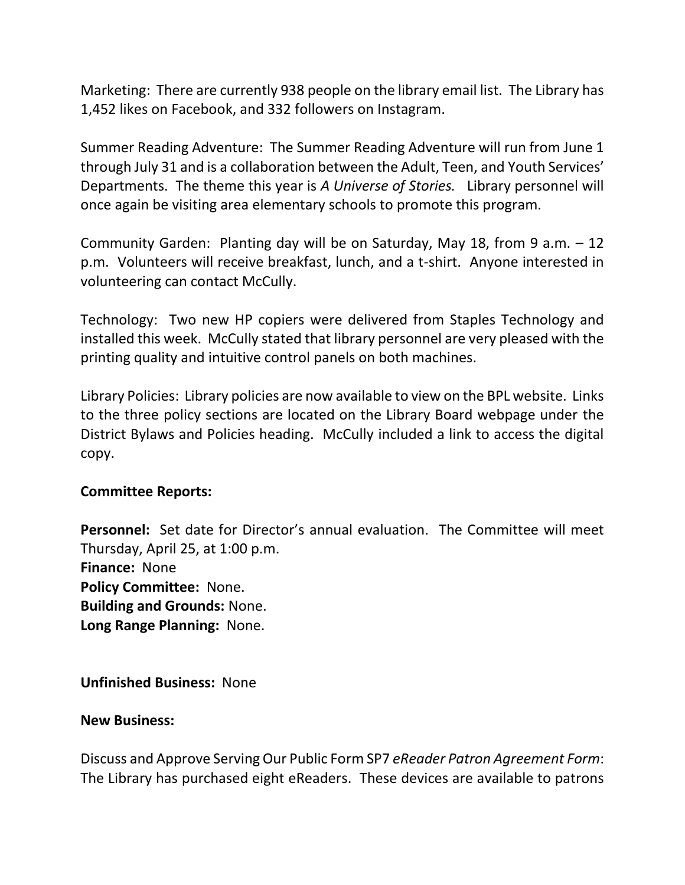Marketing: There are currently 938 people on the library email list. The Library has 1,452 likes on Facebook, and 332 followers on Instagram.

Summer Reading Adventure: The Summer Reading Adventure will run from June 1 through July 31 and is a collaboration between the Adult, Teen, and Youth Services' Departments. The theme this year is *A Universe of Stories.* Library personnel will once again be visiting area elementary schools to promote this program.

Community Garden: Planting day will be on Saturday, May 18, from 9 a.m. – 12 p.m. Volunteers will receive breakfast, lunch, and a t-shirt. Anyone interested in volunteering can contact McCully.

Technology: Two new HP copiers were delivered from Staples Technology and installed this week. McCully stated that library personnel are very pleased with the printing quality and intuitive control panels on both machines.

Library Policies: Library policies are now available to view on the BPL website. Links to the three policy sections are located on the Library Board webpage under the District Bylaws and Policies heading. McCully included a link to access the digital copy.

## **Committee Reports:**

**Personnel:** Set date for Director's annual evaluation. The Committee will meet Thursday, April 25, at 1:00 p.m. **Finance:** None **Policy Committee:** None. **Building and Grounds:** None. **Long Range Planning:** None.

**Unfinished Business:** None

## **New Business:**

Discuss and Approve Serving Our Public Form SP7 *eReader Patron Agreement Form*: The Library has purchased eight eReaders. These devices are available to patrons